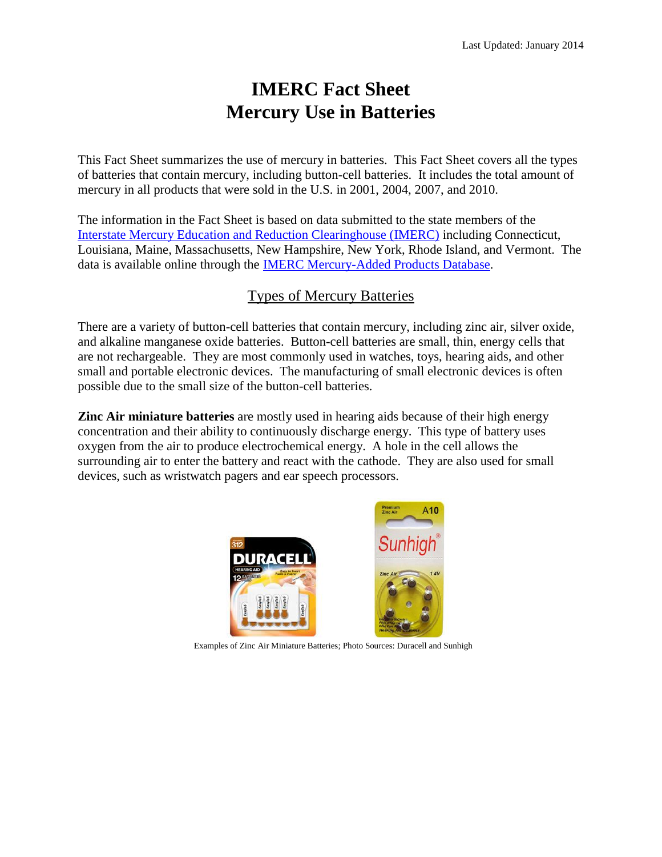# **IMERC Fact Sheet Mercury Use in Batteries**

This Fact Sheet summarizes the use of mercury in batteries. This Fact Sheet covers all the types of batteries that contain mercury, including button-cell batteries. It includes the total amount of mercury in all products that were sold in the U.S. in 2001, 2004, 2007, and 2010.

The information in the Fact Sheet is based on data submitted to the state members of the [Interstate Mercury Education and Reduction Clearinghouse \(IMERC\)](http://www.newmoa.org/prevention/mercury/imerc/about.cfm) including Connecticut, Louisiana, Maine, Massachusetts, New Hampshire, New York, Rhode Island, and Vermont. The data is available online through the [IMERC Mercury-Added Products Database.](https://imerc.newmoa.org/publicsearch/NEWMOA_IMERC.aspx#/CustomizedSearch)

# Types of Mercury Batteries

There are a variety of button-cell batteries that contain mercury, including zinc air, silver oxide, and alkaline manganese oxide batteries. Button-cell batteries are small, thin, energy cells that are not rechargeable. They are most commonly used in watches, toys, hearing aids, and other small and portable electronic devices. The manufacturing of small electronic devices is often possible due to the small size of the button-cell batteries.

**Zinc Air miniature batteries** are mostly used in hearing aids because of their high energy concentration and their ability to continuously discharge energy. This type of battery uses oxygen from the air to produce electrochemical energy. A hole in the cell allows the surrounding air to enter the battery and react with the cathode. They are also used for small devices, such as wristwatch pagers and ear speech processors.



Examples of Zinc Air Miniature Batteries; Photo Sources: Duracell and Sunhigh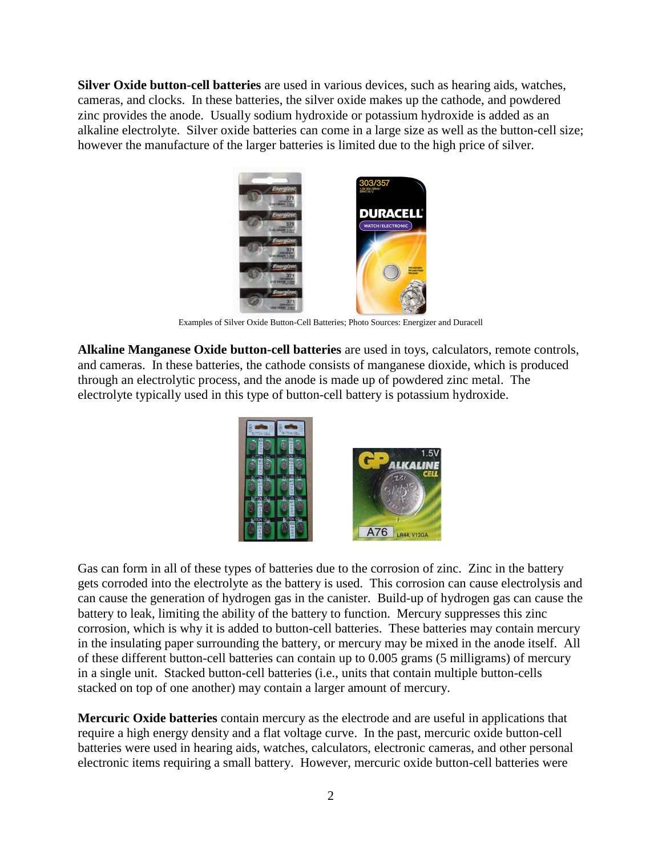**Silver Oxide button-cell batteries** are used in various devices, such as hearing aids, watches, cameras, and clocks. In these batteries, the silver oxide makes up the cathode, and powdered zinc provides the anode. Usually sodium hydroxide or potassium hydroxide is added as an alkaline electrolyte. Silver oxide batteries can come in a large size as well as the button-cell size; however the manufacture of the larger batteries is limited due to the high price of silver.



**Examples of Silver Oxide Button-Cell Batteries; Photo Sources: Energizer and Duracell** 

**Alkaline Manganese Oxide button-cell batteries** are used in toys, calculators, remote controls, and cameras. In these batteries, the cathode consists of manganese dioxide, which is produced through an electrolytic process, and the anode is made up of powdered zinc metal. The electrolyte typically used in this type of button-cell battery is potassium hydroxide.



Gas can form in all of these types of batteries due to the corrosion of zinc. Zinc in the battery gets corroded into the electrolyte as the battery is used. This corrosion can cause electrolysis and can cause the generation of hydrogen gas in the canister. Build-up of hydrogen gas can cause the battery to leak, limiting the ability of the battery to function. Mercury suppresses this zinc corrosion, which is why it is added to button-cell batteries. These batteries may contain mercury in the insulating paper surrounding the battery, or mercury may be mixed in the anode itself. All of these different button-cell batteries can contain up to 0.005 grams (5 milligrams) of mercury in a single unit. Stacked button-cell batteries (i.e., units that contain multiple button-cells stacked on top of one another) may contain a larger amount of mercury.

**Mercuric Oxide batteries** contain mercury as the electrode and are useful in applications that require a high energy density and a flat voltage curve. In the past, mercuric oxide button-cell batteries were used in hearing aids, watches, calculators, electronic cameras, and other personal electronic items requiring a small battery. However, mercuric oxide button-cell batteries were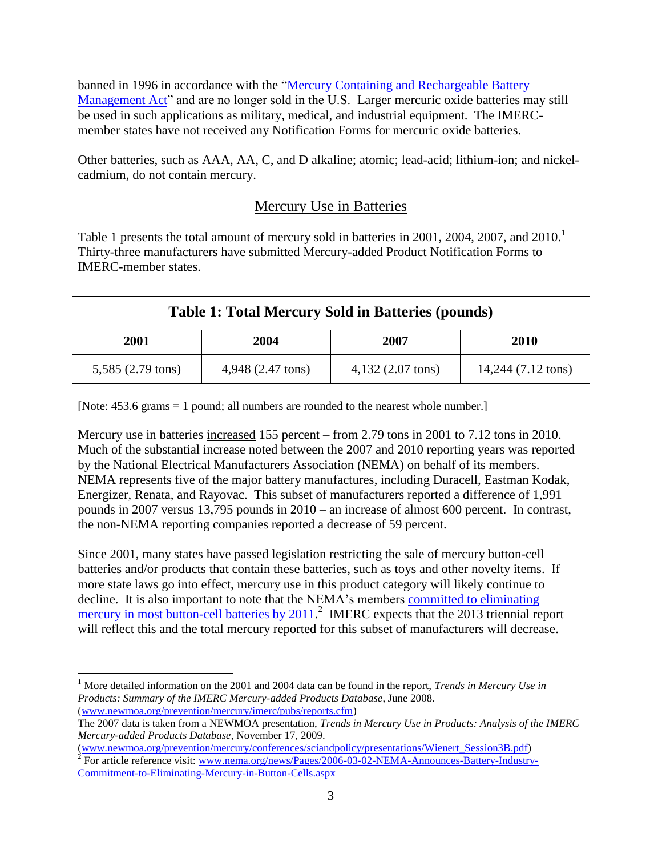banned in 1996 in accordance with the ["Mercury Containing and Rechargeable Battery](http://www.epa.gov/compliance/civil/ba)  [Management Act"](http://www.epa.gov/compliance/civil/ba) and are no longer sold in the U.S. Larger mercuric oxide batteries may still be used in such applications as military, medical, and industrial equipment. The IMERCmember states have not received any Notification Forms for mercuric oxide batteries.

Other batteries, such as AAA, AA, C, and D alkaline; atomic; lead-acid; lithium-ion; and nickelcadmium, do not contain mercury.

## Mercury Use in Batteries

Table 1 presents the total amount of mercury sold in batteries in 2001, 2004, 2007, and 2010.<sup>1</sup> Thirty-three manufacturers have submitted Mercury-added Product Notification Forms to IMERC-member states.

| <b>Table 1: Total Mercury Sold in Batteries (pounds)</b> |                   |                     |                    |
|----------------------------------------------------------|-------------------|---------------------|--------------------|
| 2001                                                     | 2004              | 2007                | <b>2010</b>        |
| 5,585 (2.79 tons)                                        | 4,948 (2.47 tons) | $4,132$ (2.07 tons) | 14,244 (7.12 tons) |

[Note: 453.6 grams = 1 pound; all numbers are rounded to the nearest whole number.]

Mercury use in batteries increased 155 percent – from 2.79 tons in 2001 to 7.12 tons in 2010. Much of the substantial increase noted between the 2007 and 2010 reporting years was reported by the National Electrical Manufacturers Association (NEMA) on behalf of its members. NEMA represents five of the major battery manufactures, including Duracell, Eastman Kodak, Energizer, Renata, and Rayovac. This subset of manufacturers reported a difference of 1,991 pounds in 2007 versus 13,795 pounds in 2010 – an increase of almost 600 percent. In contrast, the non-NEMA reporting companies reported a decrease of 59 percent.

Since 2001, many states have passed legislation restricting the sale of mercury button-cell batteries and/or products that contain these batteries, such as toys and other novelty items. If more state laws go into effect, mercury use in this product category will likely continue to decline. It is also important to note that the NEMA's members [committed to eliminating](http://www.nema.org/news/Pages/2006-03-02-NEMA-Announces-Battery-Industry-Commitment-to-Eliminating-Mercury-in-Button-Cells.aspx)  [mercury in most button-cell batteries by 2011.](http://www.nema.org/news/Pages/2006-03-02-NEMA-Announces-Battery-Industry-Commitment-to-Eliminating-Mercury-in-Button-Cells.aspx)<sup>2</sup> IMERC expects that the 2013 triennial report will reflect this and the total mercury reported for this subset of manufacturers will decrease.

 $\overline{a}$ <sup>1</sup> More detailed information on the 2001 and 2004 data can be found in the report, *Trends in Mercury Use in Products: Summary of the IMERC Mercury-added Products Database*, June 2008. [\(www.newmoa.org/prevention/mercury/imerc/pubs/reports.cfm\)](http://www.newmoa.org/prevention/mercury/imerc/pubs/reports.cfm)

The 2007 data is taken from a NEWMOA presentation, *Trends in Mercury Use in Products: Analysis of the IMERC Mercury-added Products Database*, November 17, 2009.

[<sup>\(</sup>www.newmoa.org/prevention/mercury/conferences/sciandpolicy/presentations/Wienert\\_Session3B.pdf\)](http://www.newmoa.org/prevention/mercury/conferences/sciandpolicy/presentations/Wienert_Session3B.pdf)<br><sup>2</sup> For article reference visit: <u>www.nema.org/news/Pages/2006-03-02-NEMA-Announces-Battery-Industry-</u> [Commitment-to-Eliminating-Mercury-in-Button-Cells.aspx](http://www.nema.org/news/Pages/2006-03-02-NEMA-Announces-Battery-Industry-Commitment-to-Eliminating-Mercury-in-Button-Cells.aspx)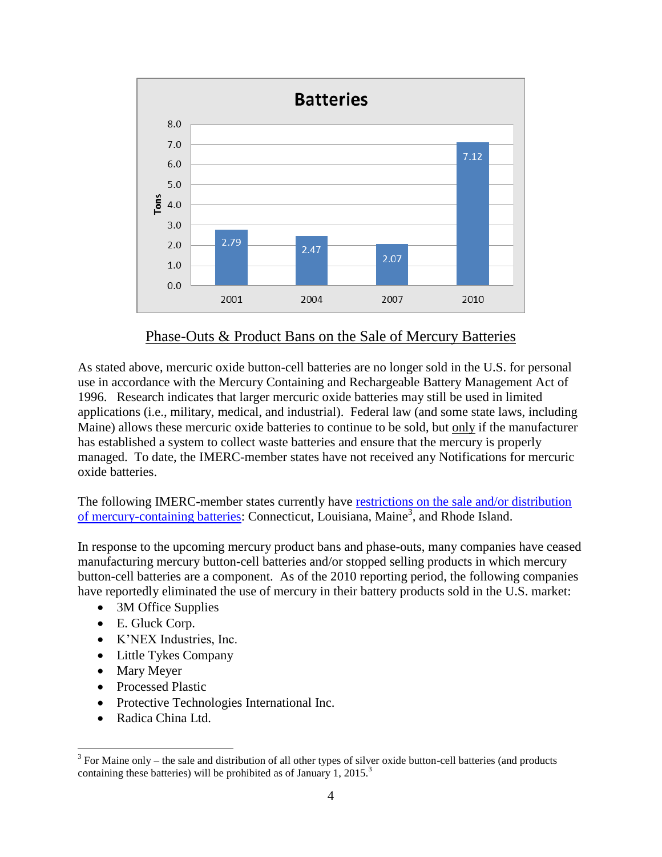

#### Phase-Outs & Product Bans on the Sale of Mercury Batteries

As stated above, mercuric oxide button-cell batteries are no longer sold in the U.S. for personal use in accordance with the Mercury Containing and Rechargeable Battery Management Act of 1996. Research indicates that larger mercuric oxide batteries may still be used in limited applications (i.e., military, medical, and industrial). Federal law (and some state laws, including Maine) allows these mercuric oxide batteries to continue to be sold, but only if the manufacturer has established a system to collect waste batteries and ensure that the mercury is properly managed. To date, the IMERC-member states have not received any Notifications for mercuric oxide batteries.

The following IMERC-member states currently have [restrictions on the sale and/or distribution](http://www.newmoa.org/prevention/mercury/imerc/banphaseout.cfm)  [of mercury-containing batteries:](http://www.newmoa.org/prevention/mercury/imerc/banphaseout.cfm) Connecticut, Louisiana, Maine<sup>3</sup>, and Rhode Island.

In response to the upcoming mercury product bans and phase-outs, many companies have ceased manufacturing mercury button-cell batteries and/or stopped selling products in which mercury button-cell batteries are a component. As of the 2010 reporting period, the following companies have reportedly eliminated the use of mercury in their battery products sold in the U.S. market:

- 3M Office Supplies
- E. Gluck Corp.
- K'NEX Industries, Inc.
- Little Tykes Company
- Mary Meyer

 $\overline{a}$ 

- Processed Plastic
- Protective Technologies International Inc.
- Radica China Ltd.

 $3$  For Maine only – the sale and distribution of all other types of silver oxide button-cell batteries (and products containing these batteries) will be prohibited as of January 1, 2015. $^3$